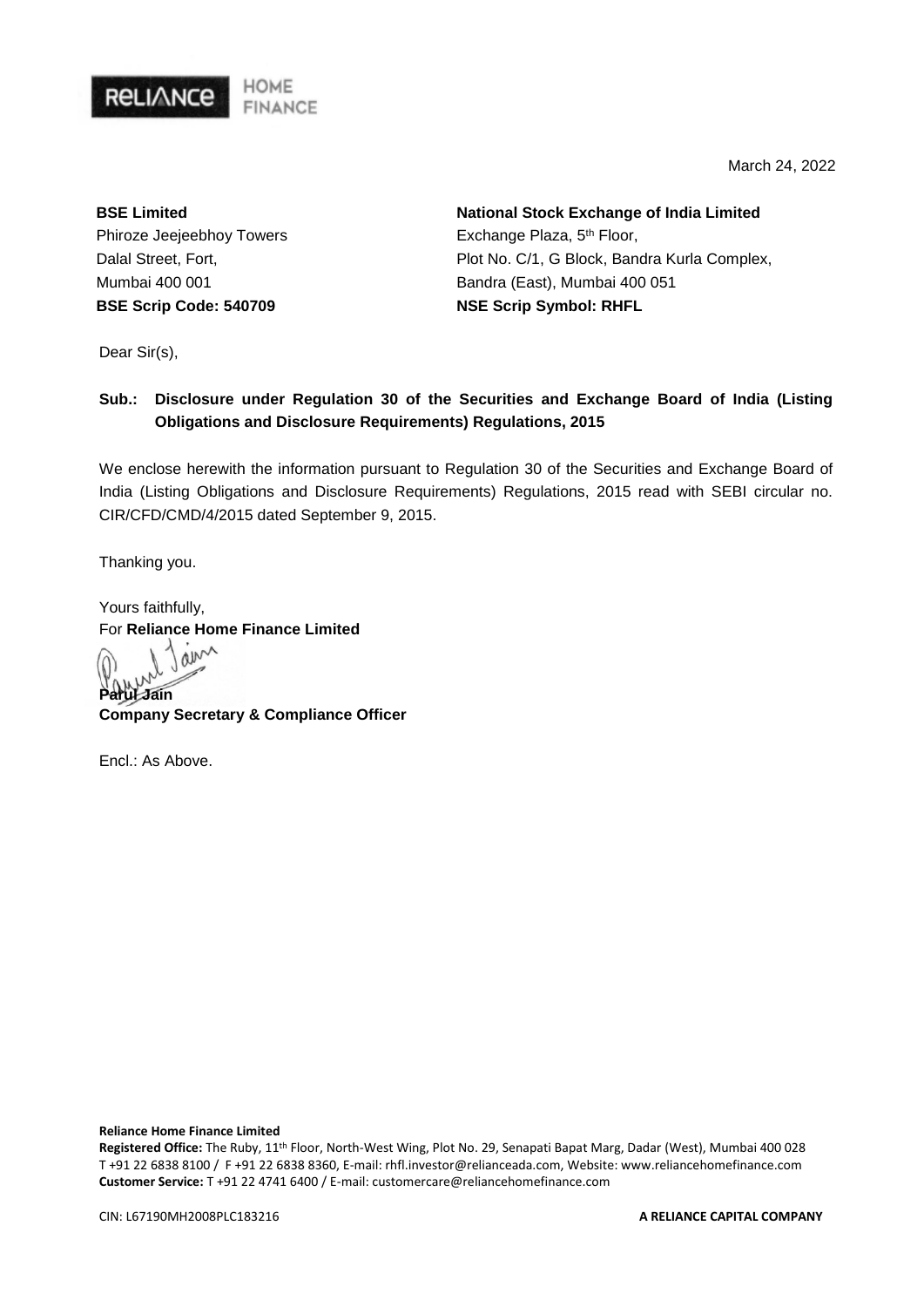

March 24, 2022

**BSE Limited** Phiroze Jeejeebhoy Towers Dalal Street, Fort, Mumbai 400 001 **BSE Scrip Code: 540709**

**National Stock Exchange of India Limited** Exchange Plaza, 5<sup>th</sup> Floor, Plot No. C/1, G Block, Bandra Kurla Complex, Bandra (East), Mumbai 400 051 **NSE Scrip Symbol: RHFL**

Dear Sir(s),

## **Sub.: Disclosure under Regulation 30 of the Securities and Exchange Board of India (Listing Obligations and Disclosure Requirements) Regulations, 2015**

We enclose herewith the information pursuant to Regulation 30 of the Securities and Exchange Board of India (Listing Obligations and Disclosure Requirements) Regulations, 2015 read with SEBI circular no. CIR/CFD/CMD/4/2015 dated September 9, 2015.

Thanking you.

Yours faithfully, For **Reliance Home Finance Limited**<br>  $\bigcap_{n=1}^{\infty}$ 

**Parul Jain**

**Company Secretary & Compliance Officer** 

 $Fnc \cdot As$  Above

**Reliance Home Finance Limited**

**Registered Office:** The Ruby, 11th Floor, North-West Wing, Plot No. 29, Senapati Bapat Marg, Dadar (West), Mumbai 400 028 T +91 22 6838 8100 / F +91 22 6838 8360, E-mail: rhfl.investor@relianceada.com, Website: www.reliancehomefinance.com **Customer Service:** T +91 22 4741 6400 / E-mail: customercare@reliancehomefinance.com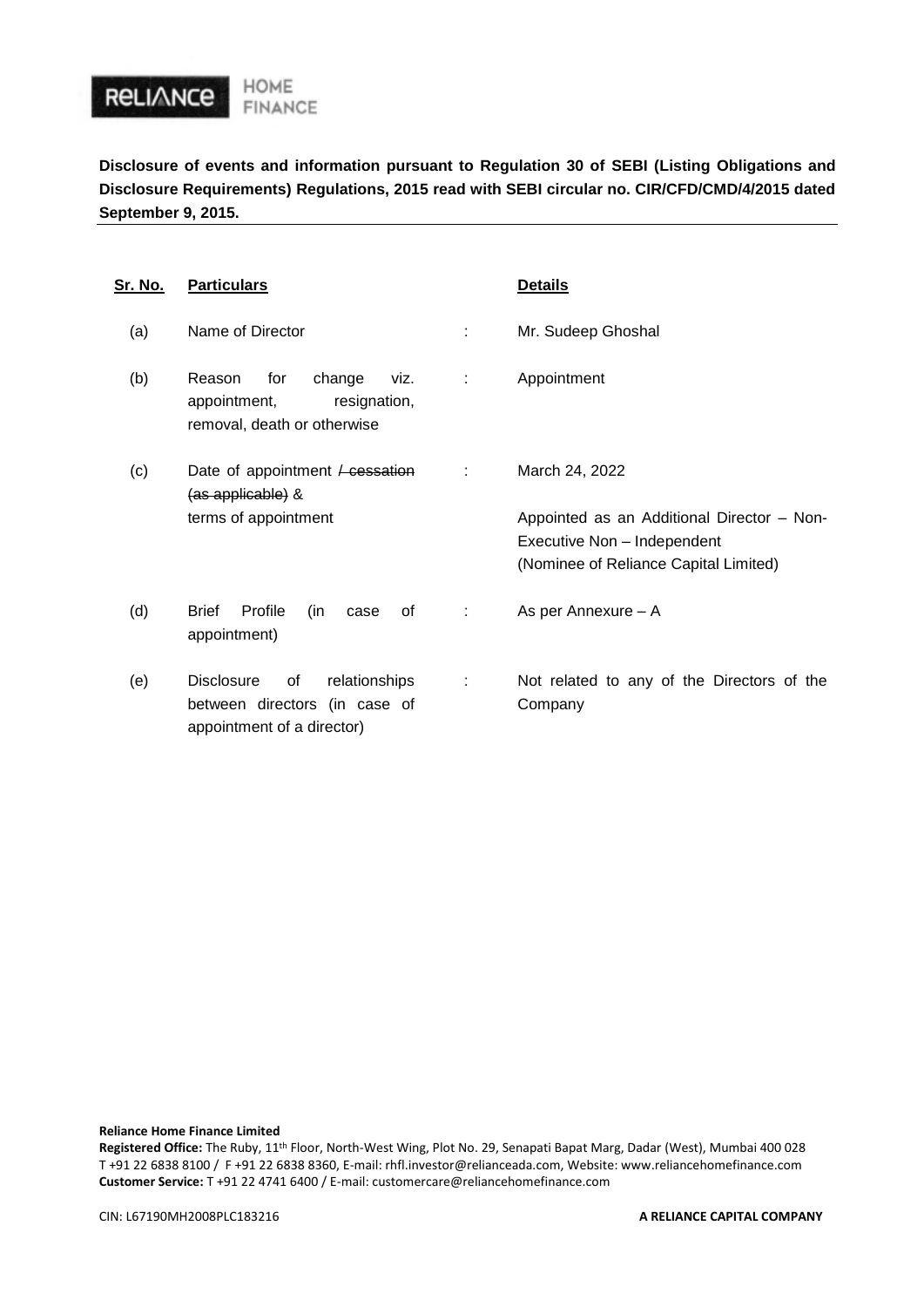

**Disclosure of events and information pursuant to Regulation 30 of SEBI (Listing Obligations and Disclosure Requirements) Regulations, 2015 read with SEBI circular no. CIR/CFD/CMD/4/2015 dated September 9, 2015.**

| <u>Sr. No.</u> | <b>Particulars</b>                                                                                      |   | <b>Details</b>                                                       |
|----------------|---------------------------------------------------------------------------------------------------------|---|----------------------------------------------------------------------|
| (a)            | Name of Director                                                                                        |   | Mr. Sudeep Ghoshal                                                   |
| (b)            | Reason<br>for<br>change<br>viz.<br>appointment,<br>resignation,<br>removal, death or otherwise          | ÷ | Appointment                                                          |
| (c)            | Date of appointment $\ell$ cessation<br>(as applicable) &<br>terms of appointment                       | ÷ | March 24, 2022<br>Appointed as an Additional Director - Non-         |
|                |                                                                                                         |   | Executive Non - Independent<br>(Nominee of Reliance Capital Limited) |
| (d)            | Profile<br><b>Brief</b><br>(in<br>οf<br>case<br>appointment)                                            | ÷ | As per Annexure - A                                                  |
| (e)            | relationships<br><b>Disclosure</b><br>οf<br>between directors (in case of<br>appointment of a director) | ÷ | Not related to any of the Directors of the<br>Company                |

**Reliance Home Finance Limited**

**Registered Office:** The Ruby, 11th Floor, North-West Wing, Plot No. 29, Senapati Bapat Marg, Dadar (West), Mumbai 400 028 T +91 22 6838 8100 / F +91 22 6838 8360, E-mail: rhfl.investor@relianceada.com, Website: www.reliancehomefinance.com **Customer Service:** T +91 22 4741 6400 / E-mail: customercare@reliancehomefinance.com